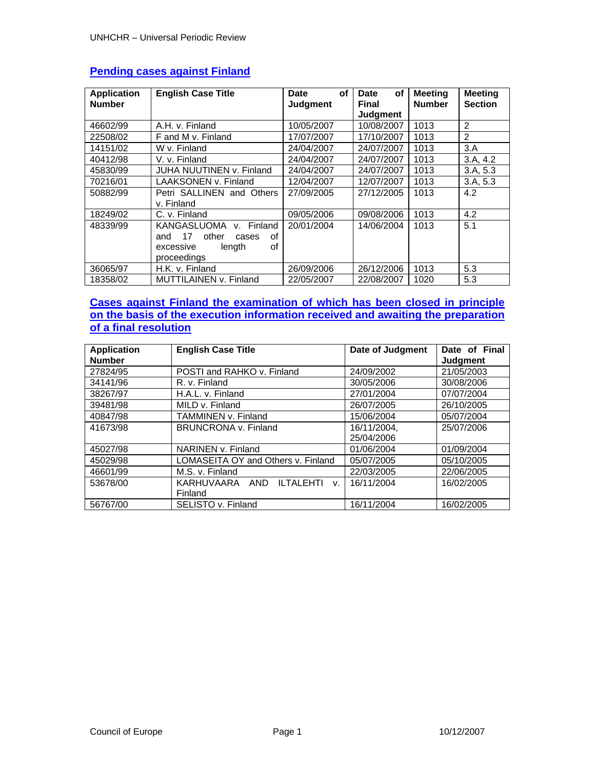| <b>Application</b><br><b>Number</b> | <b>English Case Title</b>         | οf<br>Date<br><b>Judgment</b> | οf<br><b>Date</b><br><b>Final</b> | <b>Meeting</b><br><b>Number</b> | <b>Meeting</b><br><b>Section</b> |
|-------------------------------------|-----------------------------------|-------------------------------|-----------------------------------|---------------------------------|----------------------------------|
|                                     |                                   |                               | <b>Judgment</b>                   |                                 |                                  |
| 46602/99                            | A.H. v. Finland                   | 10/05/2007                    | 10/08/2007                        | 1013                            | $\mathfrak{p}$                   |
| 22508/02                            | F and M v. Finland                | 17/07/2007                    | 17/10/2007                        | 1013                            | 2                                |
| 14151/02                            | W v. Finland                      | 24/04/2007                    | 24/07/2007                        | 1013                            | 3.A                              |
| 40412/98                            | V. v. Finland                     | 24/04/2007                    | 24/07/2007                        | 1013                            | 3.A, 4.2                         |
| 45830/99                            | JUHA NUUTINEN v. Finland          | 24/04/2007                    | 24/07/2007                        | 1013                            | 3.A, 5.3                         |
| 70216/01                            | LAAKSONEN v. Finland              | 12/04/2007                    | 12/07/2007                        | 1013                            | 3.A, 5.3                         |
| 50882/99                            | Petri SALLINEN and Others         | 27/09/2005                    | 27/12/2005                        | 1013                            | 4.2                              |
|                                     | v. Finland                        |                               |                                   |                                 |                                  |
| 18249/02                            | C. v. Finland                     | 09/05/2006                    | 09/08/2006                        | 1013                            | 4.2                              |
| 48339/99                            | KANGASLUOMA<br>v. Finland         | 20/01/2004                    | 14/06/2004                        | 1013                            | 5.1                              |
|                                     | other<br>οf<br>17<br>and<br>cases |                               |                                   |                                 |                                  |
|                                     | οf<br>length<br>excessive         |                               |                                   |                                 |                                  |
|                                     | proceedings                       |                               |                                   |                                 |                                  |
| 36065/97                            | H.K. v. Finland                   | 26/09/2006                    | 26/12/2006                        | 1013                            | 5.3                              |
| 18358/02                            | MUTTILAINEN v. Finland            | 22/05/2007                    | 22/08/2007                        | 1020                            | 5.3                              |

# **Pending cases against Finland**

# **Cases against Finland the examination of which has been closed in principle on the basis of the execution information received and awaiting the preparation of a final resolution**

| <b>Application</b><br><b>Number</b> | <b>English Case Title</b>                  | Date of Judgment | Date of Final<br>Judgment |
|-------------------------------------|--------------------------------------------|------------------|---------------------------|
| 27824/95                            | POSTI and RAHKO v. Finland                 | 24/09/2002       | 21/05/2003                |
| 34141/96                            | R. v. Finland                              | 30/05/2006       | 30/08/2006                |
| 38267/97                            | H.A.L. v. Finland                          | 27/01/2004       | 07/07/2004                |
| 39481/98                            | MILD v. Finland                            | 26/07/2005       | 26/10/2005                |
| 40847/98                            | TAMMINEN v. Finland                        | 15/06/2004       | 05/07/2004                |
| 41673/98                            | <b>BRUNCRONA v. Finland</b>                | 16/11/2004,      | 25/07/2006                |
|                                     |                                            | 25/04/2006       |                           |
| 45027/98                            | NARINEN v. Finland                         | 01/06/2004       | 01/09/2004                |
| 45029/98                            | LOMASEITA OY and Others v. Finland         | 05/07/2005       | 05/10/2005                |
| 46601/99                            | M.S. v. Finland                            | 22/03/2005       | 22/06/2005                |
| 53678/00                            | KARHUVAARA AND<br>ILTALEHTI<br>$V_{\rm r}$ | 16/11/2004       | 16/02/2005                |
|                                     | Finland                                    |                  |                           |
| 56767/00                            | SELISTO v. Finland                         | 16/11/2004       | 16/02/2005                |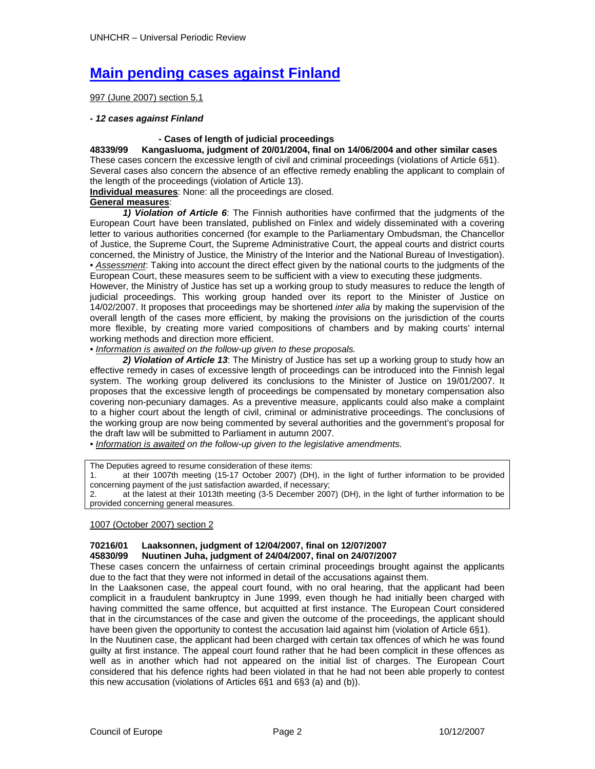# **Main pending cases against Finland**

997 (June 2007) section 5.1

#### *- 12 cases against Finland*

 **- Cases of length of judicial proceedings 48339/99 Kangasluoma, judgment of 20/01/2004, final on 14/06/2004 and other similar cases**  These cases concern the excessive length of civil and criminal proceedings (violations of Article 6§1). Several cases also concern the absence of an effective remedy enabling the applicant to complain of the length of the proceedings (violation of Article 13).

**Individual measures**: None: all the proceedings are closed.

### **General measures**:

 *1) Violation of Article 6*: The Finnish authorities have confirmed that the judgments of the European Court have been translated, published on Finlex and widely disseminated with a covering letter to various authorities concerned (for example to the Parliamentary Ombudsman, the Chancellor of Justice, the Supreme Court, the Supreme Administrative Court, the appeal courts and district courts concerned, the Ministry of Justice, the Ministry of the Interior and the National Bureau of Investigation). • *Assessment*: Taking into account the direct effect given by the national courts to the judgments of the European Court, these measures seem to be sufficient with a view to executing these judgments.

However, the Ministry of Justice has set up a working group to study measures to reduce the length of judicial proceedings. This working group handed over its report to the Minister of Justice on 14/02/2007. It proposes that proceedings may be shortened *inter alia* by making the supervision of the overall length of the cases more efficient, by making the provisions on the jurisdiction of the courts more flexible, by creating more varied compositions of chambers and by making courts' internal working methods and direction more efficient.

*• Information is awaited on the follow-up given to these proposals.* 

 *2) Violation of Article 13*: The Ministry of Justice has set up a working group to study how an effective remedy in cases of excessive length of proceedings can be introduced into the Finnish legal system. The working group delivered its conclusions to the Minister of Justice on 19/01/2007. It proposes that the excessive length of proceedings be compensated by monetary compensation also covering non-pecuniary damages. As a preventive measure, applicants could also make a complaint to a higher court about the length of civil, criminal or administrative proceedings. The conclusions of the working group are now being commented by several authorities and the government's proposal for the draft law will be submitted to Parliament in autumn 2007.

*• Information is awaited on the follow-up given to the legislative amendments.* 

The Deputies agreed to resume consideration of these items:

1. at their 1007th meeting (15-17 October 2007) (DH), in the light of further information to be provided concerning payment of the just satisfaction awarded, if necessary;

2. at the latest at their 1013th meeting (3-5 December 2007) (DH), in the light of further information to be provided concerning general measures.

#### 1007 (October 2007) section 2

# **70216/01 Laaksonnen, judgment of 12/04/2007, final on 12/07/2007**

#### **45830/99 Nuutinen Juha, judgment of 24/04/2007, final on 24/07/2007**

These cases concern the unfairness of certain criminal proceedings brought against the applicants due to the fact that they were not informed in detail of the accusations against them.

In the Laaksonen case, the appeal court found, with no oral hearing, that the applicant had been complicit in a fraudulent bankruptcy in June 1999, even though he had initially been charged with having committed the same offence, but acquitted at first instance. The European Court considered that in the circumstances of the case and given the outcome of the proceedings, the applicant should have been given the opportunity to contest the accusation laid against him (violation of Article 6§1).

In the Nuutinen case, the applicant had been charged with certain tax offences of which he was found guilty at first instance. The appeal court found rather that he had been complicit in these offences as well as in another which had not appeared on the initial list of charges. The European Court considered that his defence rights had been violated in that he had not been able properly to contest this new accusation (violations of Articles 6§1 and 6§3 (a) and (b)).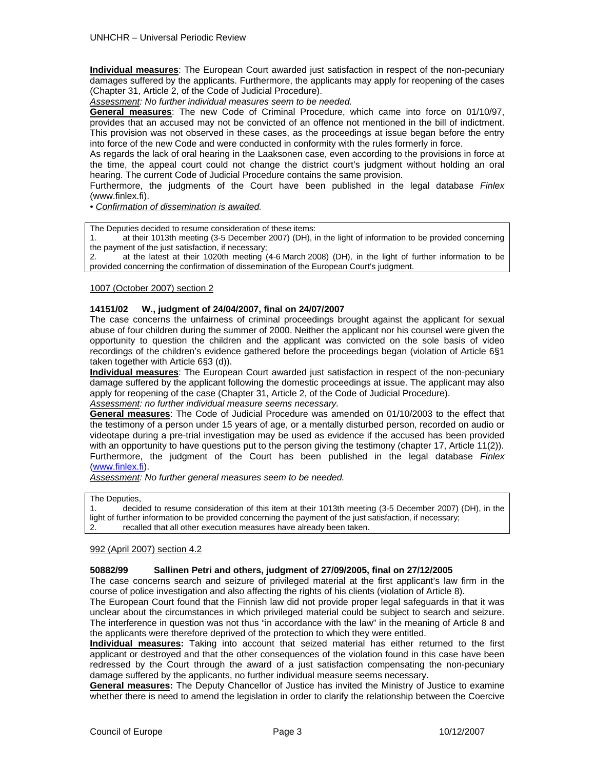**Individual measures**: The European Court awarded just satisfaction in respect of the non-pecuniary damages suffered by the applicants. Furthermore, the applicants may apply for reopening of the cases (Chapter 31, Article 2, of the Code of Judicial Procedure).

*Assessment: No further individual measures seem to be needed.* 

**General measures**: The new Code of Criminal Procedure, which came into force on 01/10/97, provides that an accused may not be convicted of an offence not mentioned in the bill of indictment. This provision was not observed in these cases, as the proceedings at issue began before the entry into force of the new Code and were conducted in conformity with the rules formerly in force.

As regards the lack of oral hearing in the Laaksonen case, even according to the provisions in force at the time, the appeal court could not change the district court's judgment without holding an oral hearing. The current Code of Judicial Procedure contains the same provision.

Furthermore, the judgments of the Court have been published in the legal database *Finlex*  (www.finlex.fi).

*• Confirmation of dissemination is awaited.* 

The Deputies decided to resume consideration of these items:

1. at their 1013th meeting (3-5 December 2007) (DH), in the light of information to be provided concerning the payment of the just satisfaction, if necessary;

2. at the latest at their 1020th meeting (4-6 March 2008) (DH), in the light of further information to be provided concerning the confirmation of dissemination of the European Court's judgment.

1007 (October 2007) section 2

#### **14151/02 W., judgment of 24/04/2007, final on 24/07/2007**

The case concerns the unfairness of criminal proceedings brought against the applicant for sexual abuse of four children during the summer of 2000. Neither the applicant nor his counsel were given the opportunity to question the children and the applicant was convicted on the sole basis of video recordings of the children's evidence gathered before the proceedings began (violation of Article 6§1 taken together with Article 6§3 (d)).

**Individual measures**: The European Court awarded just satisfaction in respect of the non-pecuniary damage suffered by the applicant following the domestic proceedings at issue. The applicant may also apply for reopening of the case (Chapter 31, Article 2, of the Code of Judicial Procedure).

*Assessment: no further individual measure seems necessary.* 

**General measures**: The Code of Judicial Procedure was amended on 01/10/2003 to the effect that the testimony of a person under 15 years of age, or a mentally disturbed person, recorded on audio or videotape during a pre-trial investigation may be used as evidence if the accused has been provided with an opportunity to have questions put to the person giving the testimony (chapter 17, Article 11(2)). Furthermore, the judgment of the Court has been published in the legal database *Finlex*  (www.finlex.fi).

*Assessment: No further general measures seem to be needed.* 

The Deputies,

1. decided to resume consideration of this item at their 1013th meeting (3-5 December 2007) (DH), in the light of further information to be provided concerning the payment of the just satisfaction, if necessary; 2. recalled that all other execution measures have already been taken.

#### 992 (April 2007) section 4.2

## **50882/99 Sallinen Petri and others, judgment of 27/09/2005, final on 27/12/2005**

The case concerns search and seizure of privileged material at the first applicant's law firm in the course of police investigation and also affecting the rights of his clients (violation of Article 8).

The European Court found that the Finnish law did not provide proper legal safeguards in that it was unclear about the circumstances in which privileged material could be subject to search and seizure. The interference in question was not thus "in accordance with the law" in the meaning of Article 8 and the applicants were therefore deprived of the protection to which they were entitled.

**Individual measures:** Taking into account that seized material has either returned to the first applicant or destroyed and that the other consequences of the violation found in this case have been redressed by the Court through the award of a just satisfaction compensating the non-pecuniary damage suffered by the applicants, no further individual measure seems necessary.

**General measures:** The Deputy Chancellor of Justice has invited the Ministry of Justice to examine whether there is need to amend the legislation in order to clarify the relationship between the Coercive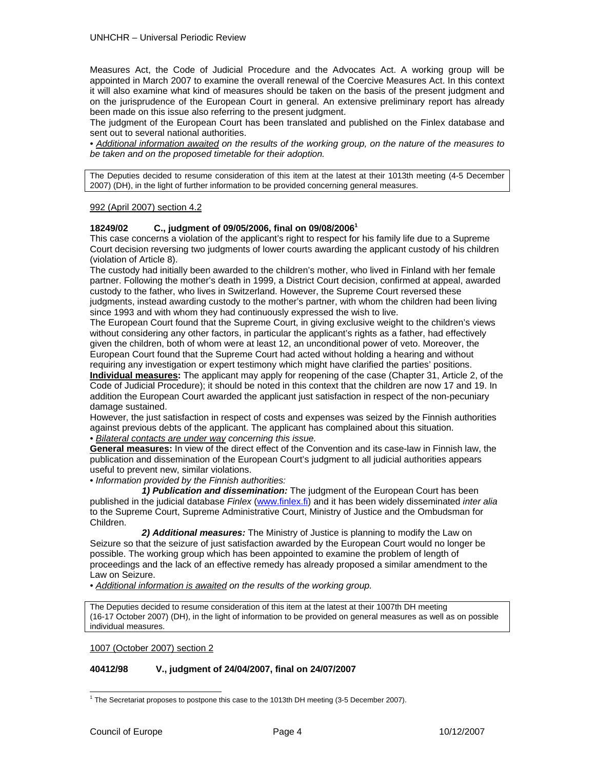Measures Act, the Code of Judicial Procedure and the Advocates Act. A working group will be appointed in March 2007 to examine the overall renewal of the Coercive Measures Act. In this context it will also examine what kind of measures should be taken on the basis of the present judgment and on the jurisprudence of the European Court in general. An extensive preliminary report has already been made on this issue also referring to the present judgment.

The judgment of the European Court has been translated and published on the Finlex database and sent out to several national authorities.

*• Additional information awaited on the results of the working group, on the nature of the measures to be taken and on the proposed timetable for their adoption.* 

The Deputies decided to resume consideration of this item at the latest at their 1013th meeting (4-5 December 2007) (DH), in the light of further information to be provided concerning general measures.

#### 992 (April 2007) section 4.2

#### **18249/02 C., judgment of 09/05/2006, final on 09/08/2006<sup>1</sup>**

This case concerns a violation of the applicant's right to respect for his family life due to a Supreme Court decision reversing two judgments of lower courts awarding the applicant custody of his children (violation of Article 8).

The custody had initially been awarded to the children's mother, who lived in Finland with her female partner. Following the mother's death in 1999, a District Court decision, confirmed at appeal, awarded custody to the father, who lives in Switzerland. However, the Supreme Court reversed these judgments, instead awarding custody to the mother's partner, with whom the children had been living since 1993 and with whom they had continuously expressed the wish to live.

The European Court found that the Supreme Court, in giving exclusive weight to the children's views without considering any other factors, in particular the applicant's rights as a father, had effectively given the children, both of whom were at least 12, an unconditional power of veto. Moreover, the European Court found that the Supreme Court had acted without holding a hearing and without requiring any investigation or expert testimony which might have clarified the parties' positions.

**Individual measures:** The applicant may apply for reopening of the case (Chapter 31, Article 2, of the Code of Judicial Procedure); it should be noted in this context that the children are now 17 and 19. In addition the European Court awarded the applicant just satisfaction in respect of the non-pecuniary damage sustained.

However, the just satisfaction in respect of costs and expenses was seized by the Finnish authorities against previous debts of the applicant. The applicant has complained about this situation.

*• Bilateral contacts are under way concerning this issue.* 

**General measures:** In view of the direct effect of the Convention and its case-law in Finnish law, the publication and dissemination of the European Court's judgment to all judicial authorities appears useful to prevent new, similar violations.

• *Information provided by the Finnish authorities:* 

 *1) Publication and dissemination:* The judgment of the European Court has been published in the judicial database *Finlex* (www.finlex.fi) and it has been widely disseminated *inter alia* to the Supreme Court, Supreme Administrative Court, Ministry of Justice and the Ombudsman for Children.

 *2) Additional measures:* The Ministry of Justice is planning to modify the Law on Seizure so that the seizure of just satisfaction awarded by the European Court would no longer be possible. The working group which has been appointed to examine the problem of length of proceedings and the lack of an effective remedy has already proposed a similar amendment to the Law on Seizure.

*• Additional information is awaited on the results of the working group.*

The Deputies decided to resume consideration of this item at the latest at their 1007th DH meeting (16-17 October 2007) (DH), in the light of information to be provided on general measures as well as on possible individual measures.

1007 (October 2007) section 2

#### **40412/98 V., judgment of 24/04/2007, final on 24/07/2007**

 1 The Secretariat proposes to postpone this case to the 1013th DH meeting (3-5 December 2007).